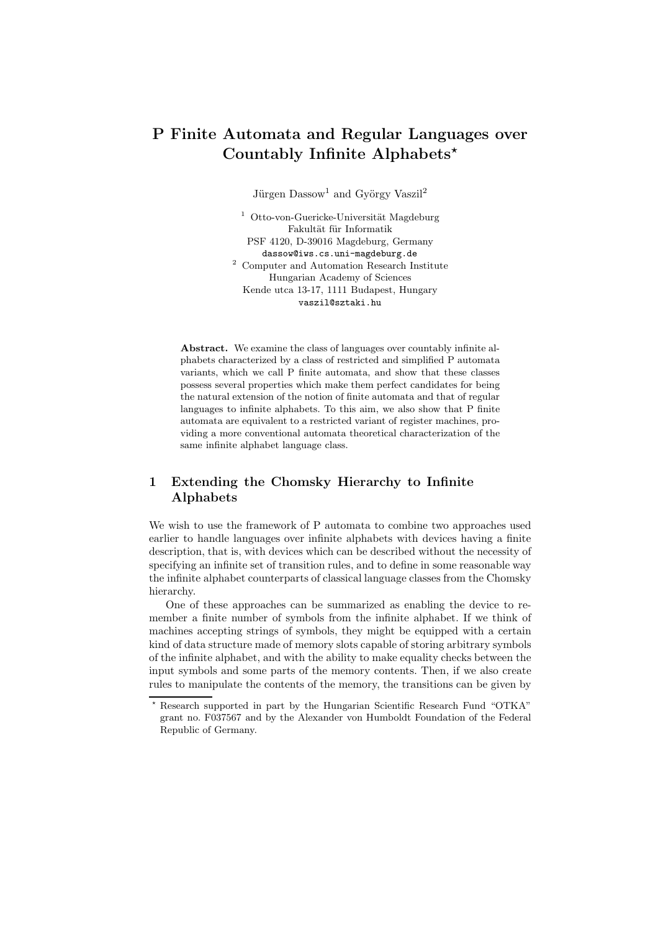# P Finite Automata and Regular Languages over Countably Infinite Alphabets<sup>\*</sup>

Jürgen  $D$ assow<sup>1</sup> and György Vaszil<sup>2</sup>

 $1$  Otto-von-Guericke-Universität Magdeburg Fakultät für Informatik PSF 4120, D-39016 Magdeburg, Germany dassow@iws.cs.uni-magdeburg.de <sup>2</sup> Computer and Automation Research Institute Hungarian Academy of Sciences Kende utca 13-17, 1111 Budapest, Hungary vaszil@sztaki.hu

Abstract. We examine the class of languages over countably infinite alphabets characterized by a class of restricted and simplified P automata variants, which we call P finite automata, and show that these classes possess several properties which make them perfect candidates for being the natural extension of the notion of finite automata and that of regular languages to infinite alphabets. To this aim, we also show that P finite automata are equivalent to a restricted variant of register machines, providing a more conventional automata theoretical characterization of the same infinite alphabet language class.

# 1 Extending the Chomsky Hierarchy to Infinite Alphabets

We wish to use the framework of P automata to combine two approaches used earlier to handle languages over infinite alphabets with devices having a finite description, that is, with devices which can be described without the necessity of specifying an infinite set of transition rules, and to define in some reasonable way the infinite alphabet counterparts of classical language classes from the Chomsky hierarchy.

One of these approaches can be summarized as enabling the device to remember a finite number of symbols from the infinite alphabet. If we think of machines accepting strings of symbols, they might be equipped with a certain kind of data structure made of memory slots capable of storing arbitrary symbols of the infinite alphabet, and with the ability to make equality checks between the input symbols and some parts of the memory contents. Then, if we also create rules to manipulate the contents of the memory, the transitions can be given by

<sup>?</sup> Research supported in part by the Hungarian Scientific Research Fund "OTKA" grant no. F037567 and by the Alexander von Humboldt Foundation of the Federal Republic of Germany.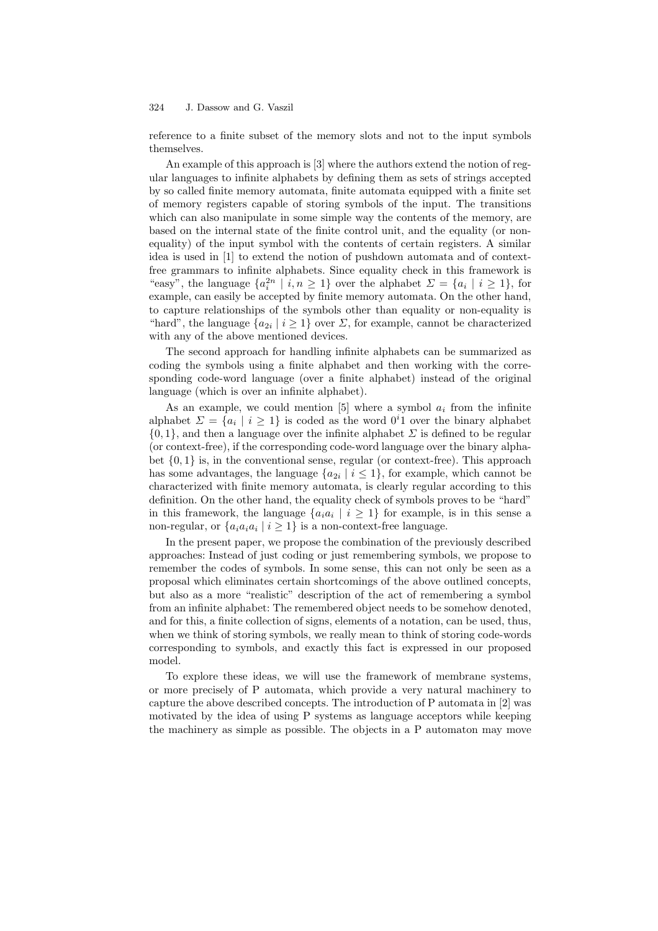reference to a finite subset of the memory slots and not to the input symbols themselves.

An example of this approach is [3] where the authors extend the notion of regular languages to infinite alphabets by defining them as sets of strings accepted by so called finite memory automata, finite automata equipped with a finite set of memory registers capable of storing symbols of the input. The transitions which can also manipulate in some simple way the contents of the memory, are based on the internal state of the finite control unit, and the equality (or nonequality) of the input symbol with the contents of certain registers. A similar idea is used in [1] to extend the notion of pushdown automata and of contextfree grammars to infinite alphabets. Since equality check in this framework is "easy", the language  $\{a_i^{2n} \mid i, n \geq 1\}$  over the alphabet  $\Sigma = \{a_i \mid i \geq 1\}$ , for example, can easily be accepted by finite memory automata. On the other hand, to capture relationships of the symbols other than equality or non-equality is "hard", the language  $\{a_{2i} \mid i \geq 1\}$  over  $\Sigma$ , for example, cannot be characterized with any of the above mentioned devices.

The second approach for handling infinite alphabets can be summarized as coding the symbols using a finite alphabet and then working with the corresponding code-word language (over a finite alphabet) instead of the original language (which is over an infinite alphabet).

As an example, we could mention [5] where a symbol  $a_i$  from the infinite alphabet  $\Sigma = \{a_i \mid i \geq 1\}$  is coded as the word  $0^i$ 1 over the binary alphabet  $\{0, 1\}$ , and then a language over the infinite alphabet  $\Sigma$  is defined to be regular (or context-free), if the corresponding code-word language over the binary alphabet {0, 1} is, in the conventional sense, regular (or context-free). This approach has some advantages, the language  $\{a_{2i} \mid i \leq 1\}$ , for example, which cannot be characterized with finite memory automata, is clearly regular according to this definition. On the other hand, the equality check of symbols proves to be "hard" in this framework, the language  $\{a_i a_i \mid i \geq 1\}$  for example, is in this sense a non-regular, or  $\{a_i a_i | i \geq 1\}$  is a non-context-free language.

In the present paper, we propose the combination of the previously described approaches: Instead of just coding or just remembering symbols, we propose to remember the codes of symbols. In some sense, this can not only be seen as a proposal which eliminates certain shortcomings of the above outlined concepts, but also as a more "realistic" description of the act of remembering a symbol from an infinite alphabet: The remembered object needs to be somehow denoted, and for this, a finite collection of signs, elements of a notation, can be used, thus, when we think of storing symbols, we really mean to think of storing code-words corresponding to symbols, and exactly this fact is expressed in our proposed model.

To explore these ideas, we will use the framework of membrane systems, or more precisely of P automata, which provide a very natural machinery to capture the above described concepts. The introduction of P automata in [2] was motivated by the idea of using P systems as language acceptors while keeping the machinery as simple as possible. The objects in a P automaton may move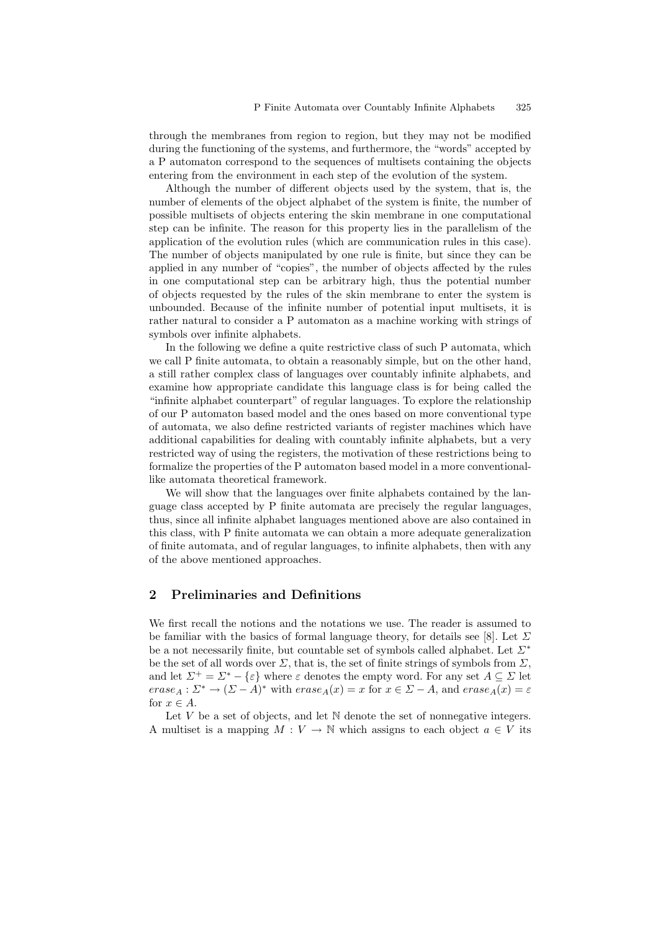through the membranes from region to region, but they may not be modified during the functioning of the systems, and furthermore, the "words" accepted by a P automaton correspond to the sequences of multisets containing the objects entering from the environment in each step of the evolution of the system.

Although the number of different objects used by the system, that is, the number of elements of the object alphabet of the system is finite, the number of possible multisets of objects entering the skin membrane in one computational step can be infinite. The reason for this property lies in the parallelism of the application of the evolution rules (which are communication rules in this case). The number of objects manipulated by one rule is finite, but since they can be applied in any number of "copies", the number of objects affected by the rules in one computational step can be arbitrary high, thus the potential number of objects requested by the rules of the skin membrane to enter the system is unbounded. Because of the infinite number of potential input multisets, it is rather natural to consider a P automaton as a machine working with strings of symbols over infinite alphabets.

In the following we define a quite restrictive class of such P automata, which we call P finite automata, to obtain a reasonably simple, but on the other hand, a still rather complex class of languages over countably infinite alphabets, and examine how appropriate candidate this language class is for being called the "infinite alphabet counterpart" of regular languages. To explore the relationship of our P automaton based model and the ones based on more conventional type of automata, we also define restricted variants of register machines which have additional capabilities for dealing with countably infinite alphabets, but a very restricted way of using the registers, the motivation of these restrictions being to formalize the properties of the P automaton based model in a more conventionallike automata theoretical framework.

We will show that the languages over finite alphabets contained by the language class accepted by P finite automata are precisely the regular languages, thus, since all infinite alphabet languages mentioned above are also contained in this class, with P finite automata we can obtain a more adequate generalization of finite automata, and of regular languages, to infinite alphabets, then with any of the above mentioned approaches.

## 2 Preliminaries and Definitions

We first recall the notions and the notations we use. The reader is assumed to be familiar with the basics of formal language theory, for details see [8]. Let  $\Sigma$ be a not necessarily finite, but countable set of symbols called alphabet. Let  $\Sigma^*$ be the set of all words over  $\Sigma$ , that is, the set of finite strings of symbols from  $\Sigma$ , and let  $\Sigma^+ = \Sigma^* - \{\varepsilon\}$  where  $\varepsilon$  denotes the empty word. For any set  $A \subseteq \Sigma$  let  $erase_A : \Sigma^* \to (\Sigma - A)^*$  with  $erase_A(x) = x$  for  $x \in \Sigma - A$ , and  $erase_A(x) = \varepsilon$ for  $x \in A$ .

Let  $V$  be a set of objects, and let  $N$  denote the set of nonnegative integers. A multiset is a mapping  $M: V \to \mathbb{N}$  which assigns to each object  $a \in V$  its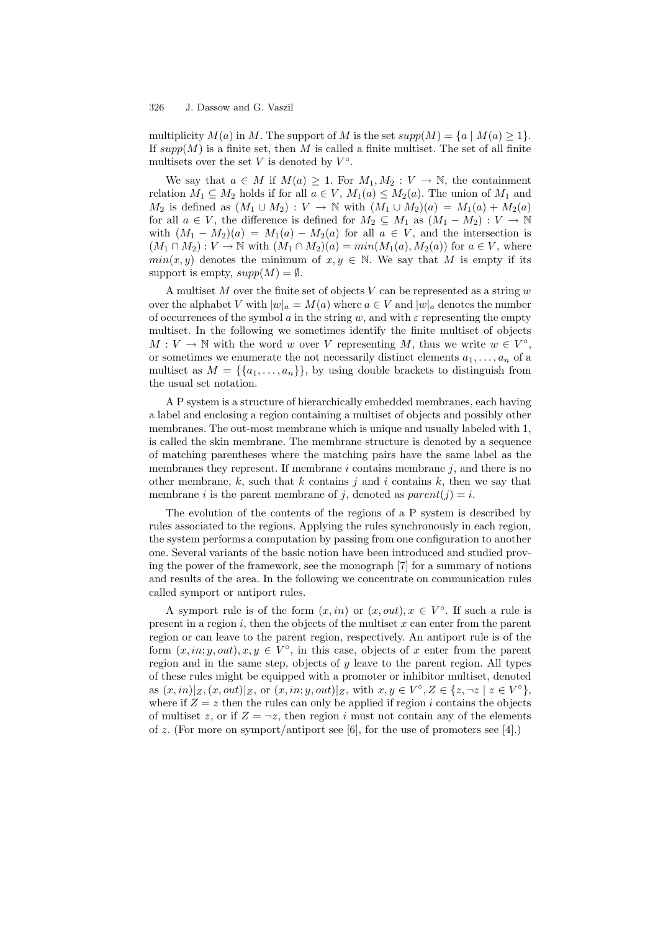multiplicity  $M(a)$  in M. The support of M is the set  $supp(M) = \{a \mid M(a) \geq 1\}.$ If  $supp(M)$  is a finite set, then M is called a finite multiset. The set of all finite multisets over the set V is denoted by  $V^{\circ}$ .

We say that  $a \in M$  if  $M(a) \geq 1$ . For  $M_1, M_2 : V \to \mathbb{N}$ , the containment relation  $M_1 \subseteq M_2$  holds if for all  $a \in V$ ,  $M_1(a) \leq M_2(a)$ . The union of  $M_1$  and  $M_2$  is defined as  $(M_1 \cup M_2) : V \to \mathbb{N}$  with  $(M_1 \cup M_2)(a) = M_1(a) + M_2(a)$ for all  $a \in V$ , the difference is defined for  $M_2 \subseteq M_1$  as  $(M_1 - M_2) : V \to \mathbb{N}$ with  $(M_1 - M_2)(a) = M_1(a) - M_2(a)$  for all  $a \in V$ , and the intersection is  $(M_1 \cap M_2) : V \to \mathbb{N}$  with  $(M_1 \cap M_2)(a) = min(M_1(a), M_2(a))$  for  $a \in V$ , where  $min(x, y)$  denotes the minimum of  $x, y \in \mathbb{N}$ . We say that M is empty if its support is empty,  $supp(M) = \emptyset$ .

A multiset  $M$  over the finite set of objects  $V$  can be represented as a string  $w$ over the alphabet V with  $|w|_a = M(a)$  where  $a \in V$  and  $|w|_a$  denotes the number of occurrences of the symbol a in the string w, and with  $\varepsilon$  representing the empty multiset. In the following we sometimes identify the finite multiset of objects  $M: V \to \mathbb{N}$  with the word w over V representing M, thus we write  $w \in V^{\circ}$ , or sometimes we enumerate the not necessarily distinct elements  $a_1, \ldots, a_n$  of a multiset as  $M = \{\{a_1, \ldots, a_n\}\}\$ , by using double brackets to distinguish from the usual set notation.

A P system is a structure of hierarchically embedded membranes, each having a label and enclosing a region containing a multiset of objects and possibly other membranes. The out-most membrane which is unique and usually labeled with 1, is called the skin membrane. The membrane structure is denoted by a sequence of matching parentheses where the matching pairs have the same label as the membranes they represent. If membrane  $i$  contains membrane  $j$ , and there is no other membrane, k, such that k contains j and i contains k, then we say that membrane i is the parent membrane of j, denoted as  $parent(j) = i$ .

The evolution of the contents of the regions of a P system is described by rules associated to the regions. Applying the rules synchronously in each region, the system performs a computation by passing from one configuration to another one. Several variants of the basic notion have been introduced and studied proving the power of the framework, see the monograph [7] for a summary of notions and results of the area. In the following we concentrate on communication rules called symport or antiport rules.

A symport rule is of the form  $(x, in)$  or  $(x, out), x \in V^{\circ}$ . If such a rule is present in a region  $i$ , then the objects of the multiset  $x$  can enter from the parent region or can leave to the parent region, respectively. An antiport rule is of the form  $(x, in; y, out), x, y \in V^{\circ}$ , in this case, objects of x enter from the parent region and in the same step, objects of  $y$  leave to the parent region. All types of these rules might be equipped with a promoter or inhibitor multiset, denoted as  $(x, in)|_Z, (x, out)|_Z$ , or  $(x, in; y, out)|_Z$ , with  $x, y \in V^{\circ}, Z \in \{z, \neg z \mid z \in V^{\circ}\},$ where if  $Z = z$  then the rules can only be applied if region i contains the objects of multiset z, or if  $Z = \neg z$ , then region i must not contain any of the elements of z. (For more on symport/antiport see [6], for the use of promoters see [4].)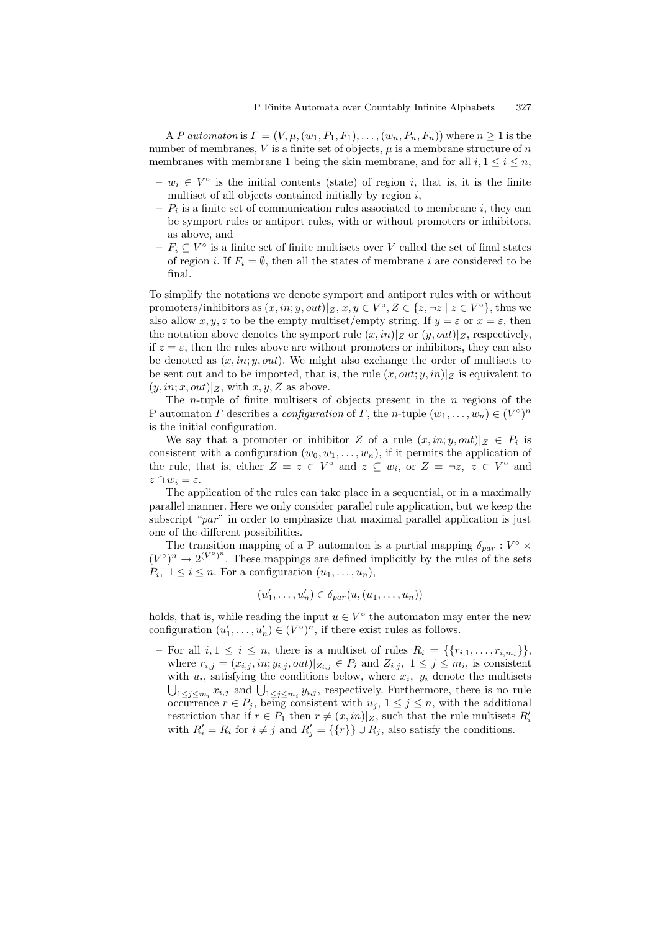A P automaton is  $\Gamma = (V, \mu, (w_1, P_1, F_1), \ldots, (w_n, P_n, F_n))$  where  $n \geq 1$  is the number of membranes,  $V$  is a finite set of objects,  $\mu$  is a membrane structure of  $n$ membranes with membrane 1 being the skin membrane, and for all  $i, 1 \leq i \leq n$ ,

- $w_i \in V^{\circ}$  is the initial contents (state) of region *i*, that is, it is the finite multiset of all objects contained initially by region  $i$ ,
- $P_i$  is a finite set of communication rules associated to membrane i, they can be symport rules or antiport rules, with or without promoters or inhibitors, as above, and
- $− F_i ⊆ V°$  is a finite set of finite multisets over V called the set of final states of region i. If  $F_i = \emptyset$ , then all the states of membrane i are considered to be final.

To simplify the notations we denote symport and antiport rules with or without promoters/inhibitors as  $(x, in; y, out)|_Z, x, y \in V^{\circ}, Z \in \{z, \neg z \mid z \in V^{\circ}\}\)$ , thus we also allow x, y, z to be the empty multiset/empty string. If  $y = \varepsilon$  or  $x = \varepsilon$ , then the notation above denotes the symport rule  $(x,in)|_Z$  or  $(y,out)|_Z$ , respectively, if  $z = \varepsilon$ , then the rules above are without promoters or inhibitors, they can also be denoted as  $(x, in; y, out)$ . We might also exchange the order of multisets to be sent out and to be imported, that is, the rule  $(x, out; y, in)|_Z$  is equivalent to  $(y, in; x, out)|_Z$ , with  $x, y, Z$  as above.

The *n*-tuple of finite multisets of objects present in the *n* regions of the P automaton  $\Gamma$  describes a *configuration* of  $\Gamma$ , the *n*-tuple  $(w_1, \ldots, w_n) \in (V^{\circ})^n$ is the initial configuration.

We say that a promoter or inhibitor Z of a rule  $(x, in; y, out)|_Z \in P_i$  is consistent with a configuration  $(w_0, w_1, \ldots, w_n)$ , if it permits the application of the rule, that is, either  $Z = z \in V^{\circ}$  and  $z \subseteq w_i$ , or  $Z = \neg z, z \in V^{\circ}$  and  $z \cap w_i = \varepsilon$ .

The application of the rules can take place in a sequential, or in a maximally parallel manner. Here we only consider parallel rule application, but we keep the subscript "par" in order to emphasize that maximal parallel application is just one of the different possibilities.

The transition mapping of a P automaton is a partial mapping  $\delta_{par} : V^{\circ} \times$  $(V^{\circ})^n \to 2^{(V^{\circ})^n}$ . These mappings are defined implicitly by the rules of the sets  $P_i, 1 \leq i \leq n$ . For a configuration  $(u_1, \ldots, u_n)$ ,

$$
(u'_1,\ldots,u'_n)\in \delta_{par}(u,(u_1,\ldots,u_n))
$$

holds, that is, while reading the input  $u \in V^{\circ}$  the automaton may enter the new configuration  $(u'_1, \ldots, u'_n) \in (V^{\circ})^n$ , if there exist rules as follows.

– For all  $i, 1 \leq i \leq n$ , there is a multiset of rules  $R_i = \{\{r_{i,1}, \ldots, r_{i,m_i}\}\}\$ where  $r_{i,j} = (x_{i,j}, in; y_{i,j}, out)|_{Z_{i,j}} \in P_i$  and  $Z_{i,j}, 1 \leq j \leq m_i$ , is consistent with  $u_i$ , satisfying the conditions below, where  $x_i$ ,  $y_i$  denote the multisets  $\bigcup_{1\leq j\leq m_i} x_{i,j}$  and  $\bigcup_{1\leq j\leq m_i} y_{i,j}$ , respectively. Furthermore, there is no rule occurrence  $r \in P_j$ , being consistent with  $u_j$ ,  $1 \leq j \leq n$ , with the additional restriction that if  $r \in P_1$  then  $r \neq (x,in)|_Z$ , such that the rule multisets  $R'_i$ with  $R'_i = R_i$  for  $i \neq j$  and  $R'_j = \{\{r\}\}\cup R_j$ , also satisfy the conditions.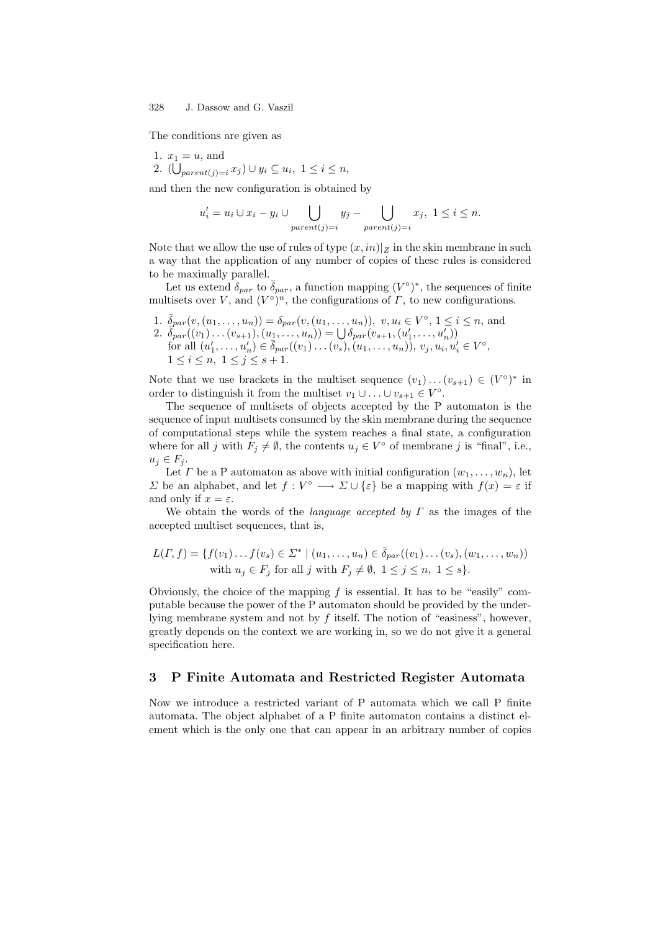The conditions are given as

- 1.  $x_1 = u$ , and
- 2.  $\left(\bigcup_{parent(j)=i} x_j\right) \cup y_i \subseteq u_i, \ 1 \leq i \leq n,$

and then the new configuration is obtained by

$$
u'_{i} = u_{i} \cup x_{i} - y_{i} \cup \bigcup_{parent(j)=i} y_{j} - \bigcup_{parent(j)=i} x_{j}, \ 1 \leq i \leq n.
$$

Note that we allow the use of rules of type  $(x,in)|_Z$  in the skin membrane in such a way that the application of any number of copies of these rules is considered to be maximally parallel.

Let us extend  $\delta_{par}$  to  $\bar{\delta}_{par}$ , a function mapping  $(V^{\circ})^*$ , the sequences of finite multisets over V, and  $(V^{\circ})^n$ , the configurations of  $\Gamma$ , to new configurations.

1.  $\bar{\delta}_{par}(v,(u_1,\ldots,u_n)) = \delta_{par}(v,(u_1,\ldots,u_n)), v, u_i \in V^{\circ}, 1 \le i \le n$ , and 2.  $\overline{\delta}_{par}((v_1)\dots(v_{s+1}),(u_1,\dots,u_n)) = \bigcup \delta_{par}(v_{s+1},(u'_1,\dots,u'_n))$ for all  $(u'_1, ..., u'_n) \in \bar{\delta}_{par}((v_1) \dots (v_s), (u_1, ..., u_n)), v_j, u_i, u'_i \in V^{\circ}$ ,  $1 \leq i \leq n, \ 1 \leq j \leq s+1.$ 

Note that we use brackets in the multiset sequence  $(v_1) \dots (v_{s+1}) \in (V^{\circ})^*$  in order to distinguish it from the multiset  $v_1 \cup \ldots \cup v_{s+1} \in V^{\circ}$ .

The sequence of multisets of objects accepted by the P automaton is the sequence of input multisets consumed by the skin membrane during the sequence of computational steps while the system reaches a final state, a configuration where for all j with  $F_j \neq \emptyset$ , the contents  $u_j \in V^{\circ}$  of membrane j is "final", i.e.,  $u_j \in F_j$ .

Let  $\Gamma$  be a P automaton as above with initial configuration  $(w_1, \ldots, w_n)$ , let  $Σ$  be an alphabet, and let  $f: V^{\circ}$  →  $Σ ∪ {ε}$  be a mapping with  $f(x) = ε$  if and only if  $x = \varepsilon$ .

We obtain the words of the *language accepted by*  $\Gamma$  as the images of the accepted multiset sequences, that is,

$$
L(\Gamma, f) = \{ f(v_1) \dots f(v_s) \in \Sigma^* \mid (u_1, \dots, u_n) \in \overline{\delta}_{par}((v_1) \dots (v_s), (w_1, \dots, w_n))
$$
  
with  $u_j \in F_j$  for all  $j$  with  $F_j \neq \emptyset$ ,  $1 \leq j \leq n$ ,  $1 \leq s \}.$ 

Obviously, the choice of the mapping  $f$  is essential. It has to be "easily" computable because the power of the P automaton should be provided by the underlying membrane system and not by  $f$  itself. The notion of "easiness", however, greatly depends on the context we are working in, so we do not give it a general specification here.

### 3 P Finite Automata and Restricted Register Automata

Now we introduce a restricted variant of P automata which we call P finite automata. The object alphabet of a P finite automaton contains a distinct element which is the only one that can appear in an arbitrary number of copies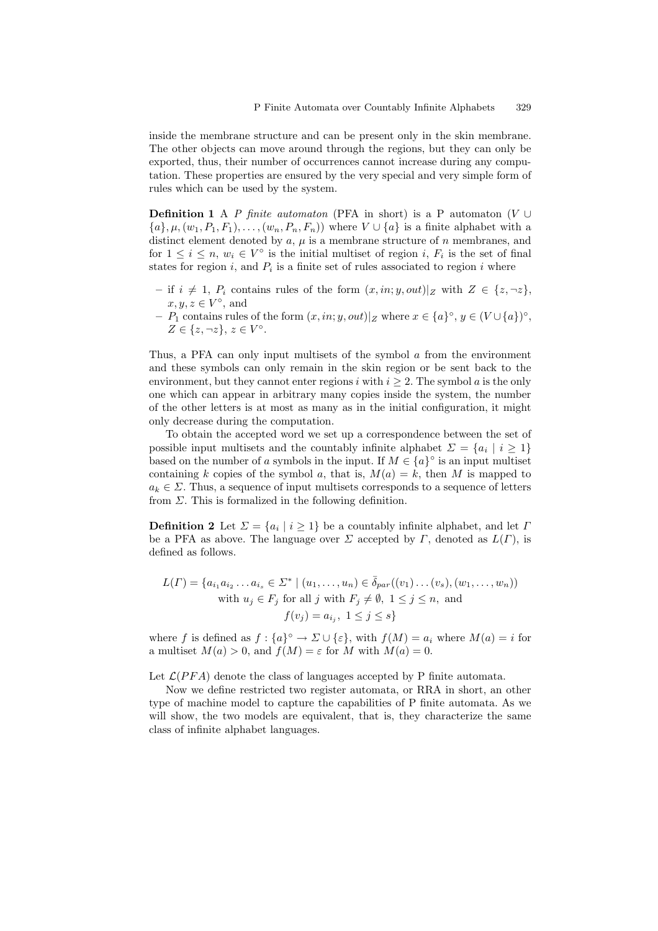inside the membrane structure and can be present only in the skin membrane. The other objects can move around through the regions, but they can only be exported, thus, their number of occurrences cannot increase during any computation. These properties are ensured by the very special and very simple form of rules which can be used by the system.

**Definition 1** A P finite automaton (PFA in short) is a P automaton (V ∪  $\{a\}, \mu, (w_1, P_1, F_1), \ldots, (w_n, P_n, F_n)$  where  $V \cup \{a\}$  is a finite alphabet with a distinct element denoted by  $a, \mu$  is a membrane structure of n membranes, and for  $1 \leq i \leq n$ ,  $w_i \in V^{\circ}$  is the initial multiset of region i,  $F_i$  is the set of final states for region  $i$ , and  $P_i$  is a finite set of rules associated to region  $i$  where

- if *i* ≠ 1,  $P_i$  contains rules of the form  $(x, in; y, out)|_Z$  with  $Z \in \{z, \neg z\}$ ,  $x, y, z \in V^{\circ}$ , and
- $-P_1$  contains rules of the form  $(x, in; y, out)|_Z$  where  $x \in \{a\}^\circ, y \in (V \cup \{a\})^\circ$ ,  $Z \in \{z, \neg z\}, z \in V^{\circ}.$

Thus, a PFA can only input multisets of the symbol a from the environment and these symbols can only remain in the skin region or be sent back to the environment, but they cannot enter regions i with  $i \geq 2$ . The symbol a is the only one which can appear in arbitrary many copies inside the system, the number of the other letters is at most as many as in the initial configuration, it might only decrease during the computation.

To obtain the accepted word we set up a correspondence between the set of possible input multisets and the countably infinite alphabet  $\Sigma = \{a_i \mid i \geq 1\}$ based on the number of a symbols in the input. If  $M \in \{a\}^{\circ}$  is an input multiset containing k copies of the symbol a, that is,  $M(a) = k$ , then M is mapped to  $a_k \in \Sigma$ . Thus, a sequence of input multisets corresponds to a sequence of letters from  $\Sigma$ . This is formalized in the following definition.

**Definition 2** Let  $\Sigma = \{a_i \mid i \geq 1\}$  be a countably infinite alphabet, and let  $\overline{I}$ be a PFA as above. The language over  $\Sigma$  accepted by  $\Gamma$ , denoted as  $L(\Gamma)$ , is defined as follows.

$$
L(\Gamma) = \{a_{i_1}a_{i_2}\dots a_{i_s} \in \Sigma^* \mid (u_1,\dots,u_n) \in \overline{\delta}_{par}((v_1)\dots(v_s),(w_1,\dots,w_n))
$$
  
with  $u_j \in F_j$  for all  $j$  with  $F_j \neq \emptyset$ ,  $1 \leq j \leq n$ , and  
 $f(v_j) = a_{i_j}$ ,  $1 \leq j \leq s\}$ 

where f is defined as  $f: \{a\}^{\circ} \to \Sigma \cup \{\varepsilon\}$ , with  $f(M) = a_i$  where  $M(a) = i$  for a multiset  $M(a) > 0$ , and  $f(M) = \varepsilon$  for M with  $M(a) = 0$ .

Let  $\mathcal{L}(PFA)$  denote the class of languages accepted by P finite automata.

Now we define restricted two register automata, or RRA in short, an other type of machine model to capture the capabilities of P finite automata. As we will show, the two models are equivalent, that is, they characterize the same class of infinite alphabet languages.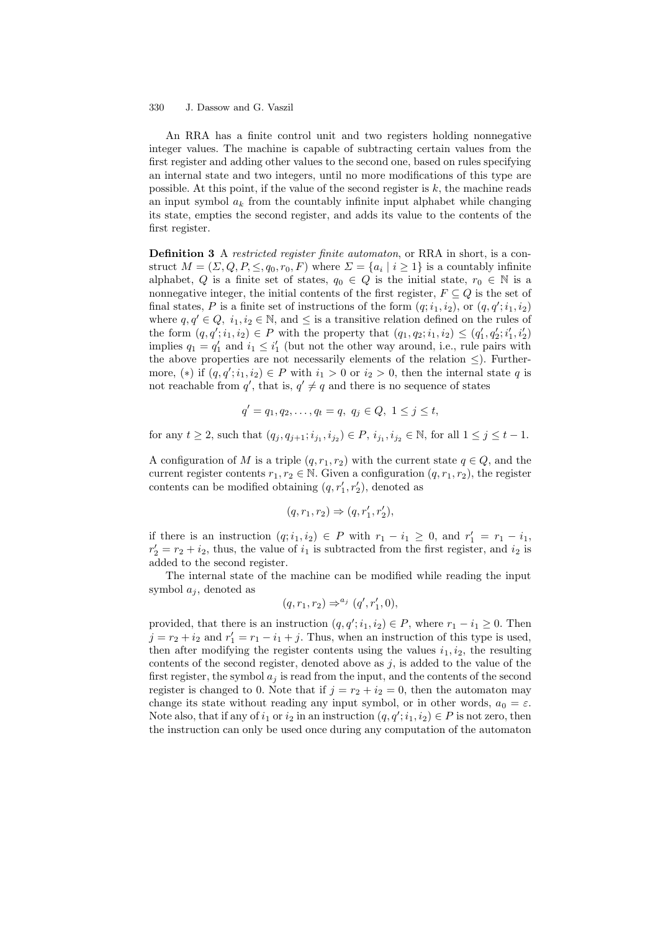An RRA has a finite control unit and two registers holding nonnegative integer values. The machine is capable of subtracting certain values from the first register and adding other values to the second one, based on rules specifying an internal state and two integers, until no more modifications of this type are possible. At this point, if the value of the second register is  $k$ , the machine reads an input symbol  $a_k$  from the countably infinite input alphabet while changing its state, empties the second register, and adds its value to the contents of the first register.

Definition 3 A restricted register finite automaton, or RRA in short, is a construct  $M = (\Sigma, Q, P, \leq, q_0, r_0, F)$  where  $\Sigma = \{a_i \mid i \geq 1\}$  is a countably infinite alphabet, Q is a finite set of states,  $q_0 \in Q$  is the initial state,  $r_0 \in \mathbb{N}$  is a nonnegative integer, the initial contents of the first register,  $F \subseteq Q$  is the set of final states, P is a finite set of instructions of the form  $(q; i_1, i_2)$ , or  $(q, q'; i_1, i_2)$ where  $q, q' \in Q$ ,  $i_1, i_2 \in \mathbb{N}$ , and  $\leq$  is a transitive relation defined on the rules of the form  $(q, q'; i_1, i_2) \in P$  with the property that  $(q_1, q_2; i_1, i_2) \leq (q'_1, q'_2; i'_1, i'_2)$ implies  $q_1 = q'_1$  and  $i_1 \leq i'_1$  (but not the other way around, i.e., rule pairs with the above properties are not necessarily elements of the relation  $\leq$ ). Furthermore, (\*) if  $(q, q'; i_1, i_2) \in P$  with  $i_1 > 0$  or  $i_2 > 0$ , then the internal state q is not reachable from  $q'$ , that is,  $q' \neq q$  and there is no sequence of states

$$
q' = q_1, q_2, \dots, q_t = q, \ q_j \in Q, \ 1 \le j \le t,
$$

for any  $t \ge 2$ , such that  $(q_j, q_{j+1}; i_{j_1}, i_{j_2}) \in P$ ,  $i_{j_1}, i_{j_2} \in \mathbb{N}$ , for all  $1 \le j \le t - 1$ .

A configuration of M is a triple  $(q, r_1, r_2)$  with the current state  $q \in Q$ , and the current register contents  $r_1, r_2 \in \mathbb{N}$ . Given a configuration  $(q, r_1, r_2)$ , the register contents can be modified obtaining  $(q, r'_1, r'_2)$ , denoted as

$$
(q,r_1,r_2)\Rightarrow (q,r_1',r_2'),
$$

if there is an instruction  $(q; i_1, i_2) \in P$  with  $r_1 - i_1 \geq 0$ , and  $r'_1 = r_1 - i_1$ ,  $r'_2 = r_2 + i_2$ , thus, the value of  $i_1$  is subtracted from the first register, and  $i_2$  is added to the second register.

The internal state of the machine can be modified while reading the input symbol  $a_j$ , denoted as

$$
(q, r_1, r_2) \Rightarrow^{a_j} (q', r'_1, 0),
$$

provided, that there is an instruction  $(q, q'; i_1, i_2) \in P$ , where  $r_1 - i_1 \geq 0$ . Then  $j = r_2 + i_2$  and  $r'_1 = r_1 - i_1 + j$ . Thus, when an instruction of this type is used, then after modifying the register contents using the values  $i_1, i_2$ , the resulting contents of the second register, denoted above as  $j$ , is added to the value of the first register, the symbol  $a_j$  is read from the input, and the contents of the second register is changed to 0. Note that if  $j = r_2 + i_2 = 0$ , then the automaton may change its state without reading any input symbol, or in other words,  $a_0 = \varepsilon$ . Note also, that if any of  $i_1$  or  $i_2$  in an instruction  $(q, q'; i_1, i_2) \in P$  is not zero, then the instruction can only be used once during any computation of the automaton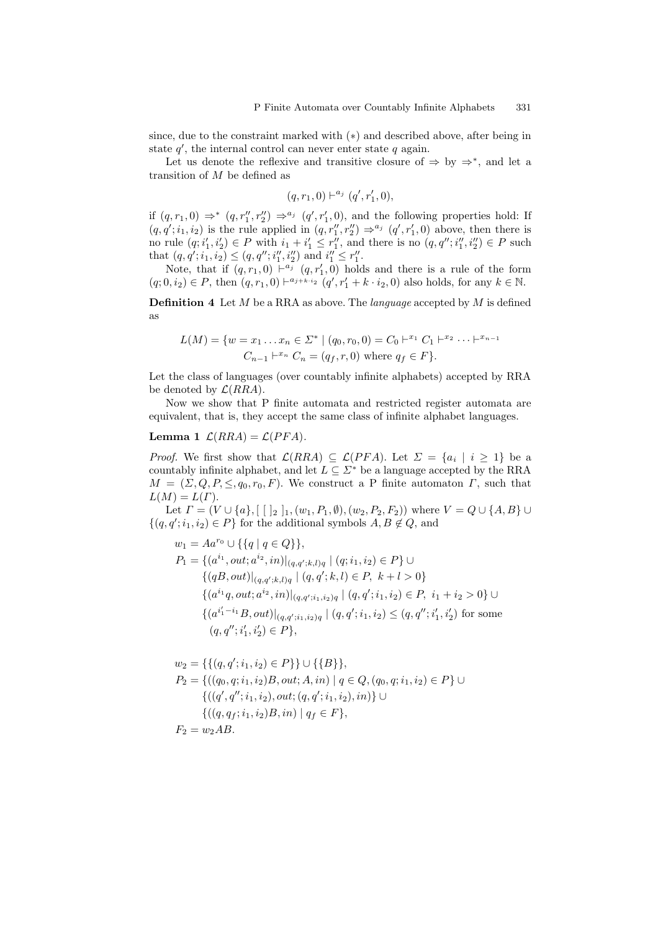since, due to the constraint marked with  $(*)$  and described above, after being in state  $q'$ , the internal control can never enter state q again.

Let us denote the reflexive and transitive closure of  $\Rightarrow$  by  $\Rightarrow^*$ , and let a transition of M be defined as

$$
(q, r_1, 0) \vdash^{a_j} (q', r'_1, 0),
$$

if  $(q, r_1, 0)$  ⇒<sup>\*</sup>  $(q, r''_1, r''_2)$  ⇒<sup>a<sub>j</sub></sup>  $(q', r'_1, 0)$ , and the following properties hold: If  $(q, q'; i_1, i_2)$  is the rule applied in  $(q, r''_1, r''_2) \Rightarrow^{a_j} (q', r'_1, 0)$  above, then there is no rule  $(q; i'_1, i'_2) \in P$  with  $i_1 + i'_1 \leq r''_1$ , and there is no  $(q, q''; i''_1, i''_2) \in P$  such that  $(q, q'; i_1, i_2) \leq (q, q''; i_1'', i_2'')$  and  $i_1'' \leq r_1''$ .

Note, that if  $(q, r_1, 0) \vdash^{a_j} (q, r'_1, 0)$  holds and there is a rule of the form  $(q; 0, i_2) \in P$ , then  $(q, r_1, 0) \vdash^{a_{j+k} \cdot i_2} (q', r'_1 + k \cdot i_2, 0)$  also holds, for any  $k \in \mathbb{N}$ .

**Definition 4** Let  $M$  be a RRA as above. The *language* accepted by  $M$  is defined as

$$
L(M) = \{ w = x_1 \dots x_n \in \Sigma^* \mid (q_0, r_0, 0) = C_0 \vdash^{x_1} C_1 \vdash^{x_2} \dots \vdash^{x_{n-1}} C_{n-1} \vdash^{x_n} C_n = (q_f, r, 0) \text{ where } q_f \in F \}.
$$

Let the class of languages (over countably infinite alphabets) accepted by RRA be denoted by  $\mathcal{L}(RRA)$ .

Now we show that P finite automata and restricted register automata are equivalent, that is, they accept the same class of infinite alphabet languages.

### **Lemma 1**  $\mathcal{L}(RRA) = \mathcal{L}(PFA)$ .

*Proof.* We first show that  $\mathcal{L}(RRA) \subseteq \mathcal{L}(PFA)$ . Let  $\Sigma = \{a_i \mid i \geq 1\}$  be a countably infinite alphabet, and let  $L \subseteq \Sigma^*$  be a language accepted by the RRA  $M = (\Sigma, Q, P, \leq, q_0, r_0, F)$ . We construct a P finite automaton  $\Gamma$ , such that  $L(M) = L(\Gamma).$ 

Let  $\Gamma = (V \cup \{a\}, [[]_2]_1, (w_1, P_1, \emptyset), (w_2, P_2, F_2))$  where  $V = Q \cup \{A, B\} \cup$  $\{(q, q'; i_1, i_2) \in P\}$  for the additional symbols  $A, B \notin Q$ , and

$$
w_1 = Aa^{r_0} \cup \{\{q \mid q \in Q\}\},
$$
  
\n
$$
P_1 = \{(a^{i_1}, out; a^{i_2}, in) |_{(q,q';k,l)q} \mid (q; i_1, i_2) \in P\} \cup
$$
  
\n
$$
\{(qB, out) |_{(q,q';k,l)q} \mid (q,q';k,l) \in P, k+l > 0\}
$$
  
\n
$$
\{(a^{i_1}q, out; a^{i_2}, in) |_{(q,q';i_1,i_2)q} \mid (q,q'; i_1, i_2) \in P, i_1 + i_2 > 0\} \cup
$$
  
\n
$$
\{(a^{i'_1 - i_1}B, out) |_{(q,q';i_1,i_2)q} \mid (q,q'; i_1, i_2) \leq (q,q''; i'_1, i'_2) \text{ for some}
$$
  
\n
$$
(q,q''; i'_1, i'_2) \in P\},
$$

$$
w_2 = \{ \{ (q, q'; i_1, i_2) \in P \} \} \cup \{ \{B\} \},
$$
  
\n
$$
P_2 = \{ ((q_0, q; i_1, i_2)B, out; A, in) | q \in Q, (q_0, q; i_1, i_2) \in P \} \cup
$$
  
\n
$$
\{ ((q', q''; i_1, i_2), out; (q, q'; i_1, i_2), in) \} \cup
$$
  
\n
$$
\{ ((q, q_f; i_1, i_2)B, in) | q_f \in F \},
$$
  
\n
$$
F_2 = w_2 AB.
$$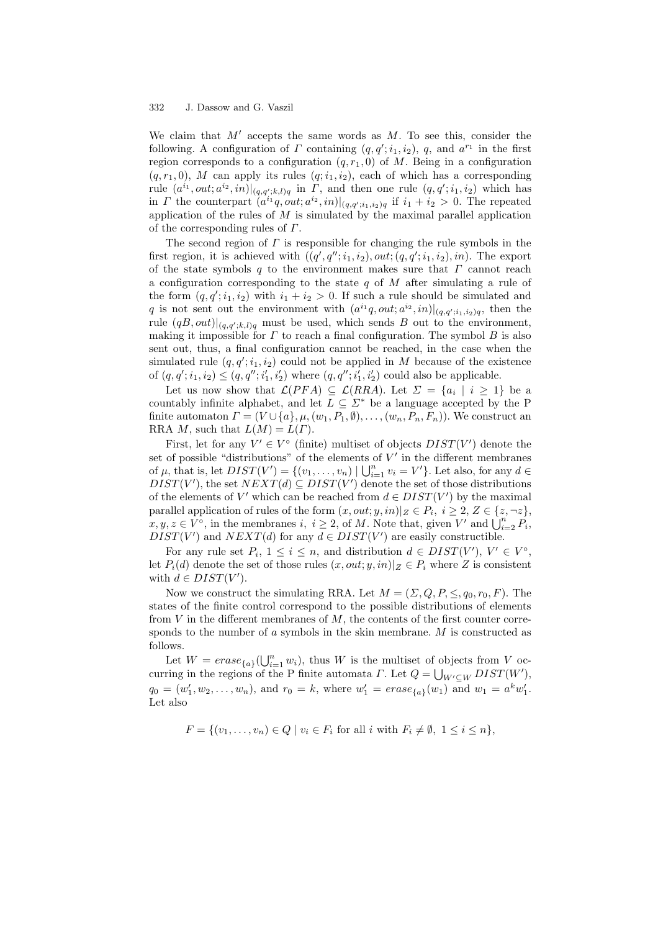We claim that  $M'$  accepts the same words as  $M$ . To see this, consider the following. A configuration of  $\Gamma$  containing  $(q, q'; i_1, i_2), q$ , and  $a^{r_1}$  in the first region corresponds to a configuration  $(q, r_1, 0)$  of M. Being in a configuration  $(q, r_1, 0)$ , M can apply its rules  $(q; i_1, i_2)$ , each of which has a corresponding rule  $(a^{i_1}, out; a^{i_2}, in)|_{(q,q';k,l)q}$  in  $\Gamma$ , and then one rule  $(q,q';i_1,i_2)$  which has in *Γ* the counterpart  $(a^{i_1}q, out; a^{i_2}, in)|_{(q,q';i_1,i_2)q}$  if  $i_1 + i_2 > 0$ . The repeated application of the rules of  $M$  is simulated by the maximal parallel application of the corresponding rules of  $\Gamma$ .

The second region of  $\Gamma$  is responsible for changing the rule symbols in the first region, it is achieved with  $((q', q''; i_1, i_2), out; (q, q'; i_1, i_2), in)$ . The export of the state symbols q to the environment makes sure that  $\Gamma$  cannot reach a configuration corresponding to the state  $q$  of M after simulating a rule of the form  $(q, q'; i_1, i_2)$  with  $i_1 + i_2 > 0$ . If such a rule should be simulated and q is not sent out the environment with  $(a^{i_1}q, out; a^{i_2}, in)|_{(q,q';i_1,i_2)q}$ , then the rule  $(qB, out)|_{(q,q';k,l)q}$  must be used, which sends B out to the environment, making it impossible for  $\Gamma$  to reach a final configuration. The symbol  $B$  is also sent out, thus, a final configuration cannot be reached, in the case when the simulated rule  $(q, q'; i_1, i_2)$  could not be applied in M because of the existence of  $(q, q'; i_1, i_2) \leq (q, q''; i'_1, i'_2)$  where  $(q, q''; i'_1, i'_2)$  could also be applicable.

Let us now show that  $\mathcal{L}(PFA) \subseteq \mathcal{L}(RRA)$ . Let  $\Sigma = \{a_i \mid i \geq 1\}$  be a countably infinite alphabet, and let  $L \subseteq \Sigma^*$  be a language accepted by the P finite automaton  $\Gamma = (V \cup \{a\}, \mu, (w_1, P_1, \emptyset), \ldots, (w_n, P_n, F_n))$ . We construct an RRA M, such that  $L(M) = L(\Gamma)$ .

First, let for any  $V' \in V^{\circ}$  (finite) multiset of objects  $DIST(V')$  denote the set of possible "distributions" of the elements of  $V'$  in the different membranes of  $\mu$ , that is, let  $DIST(V') = \{(v_1, \ldots, v_n) \mid \bigcup_{i=1}^n v_i = V'\}$ . Let also, for any  $d \in$  $DIST(V')$ , the set  $NEXT(d) \subseteq DIST(V')$  denote the set of those distributions of the elements of V' which can be reached from  $d \in DIST(V')$  by the maximal parallel application of rules of the form  $(x, out; y, in)|_Z \in P_i$ ,  $i \geq 2$ ,  $Z \in \{z, \neg z\}$ ,  $x, y, z \in V^{\circ}$ , in the membranes i,  $i \geq 2$ , of M. Note that, given V' and  $\bigcup_{i=2}^{n} P_i$ ,  $DIST(V')$  and  $NEXT(d)$  for any  $d \in DIST(V')$  are easily constructible.

For any rule set  $P_i$ ,  $1 \leq i \leq n$ , and distribution  $d \in DIST(V')$ ,  $V' \in V^{\circ}$ , let  $P_i(d)$  denote the set of those rules  $(x, out; y, in)|_Z \in P_i$  where Z is consistent with  $d \in DIST(V')$ .

Now we construct the simulating RRA. Let  $M = (\Sigma, Q, P, \leq, q_0, r_0, F)$ . The states of the finite control correspond to the possible distributions of elements from  $V$  in the different membranes of  $M$ , the contents of the first counter corresponds to the number of  $\alpha$  symbols in the skin membrane.  $M$  is constructed as follows.

Let  $W = \text{erase}_{\{a\}}(\bigcup_{i=1}^{n} w_i)$ , thus W is the multiset of objects from V occurring in the regions of the P finite automata  $\Gamma$ . Let  $Q = \bigcup_{W' \subseteq W} DIST(W')$ ,  $q_0 = (w'_1, w_2, \ldots, w_n)$ , and  $r_0 = k$ , where  $w'_1 = \text{erase}_{\{a\}}(w_1)$  and  $w_1 = a^k w'_1$ . Let also

$$
F = \{(v_1, \ldots, v_n) \in Q \mid v_i \in F_i \text{ for all } i \text{ with } F_i \neq \emptyset, 1 \leq i \leq n\},\
$$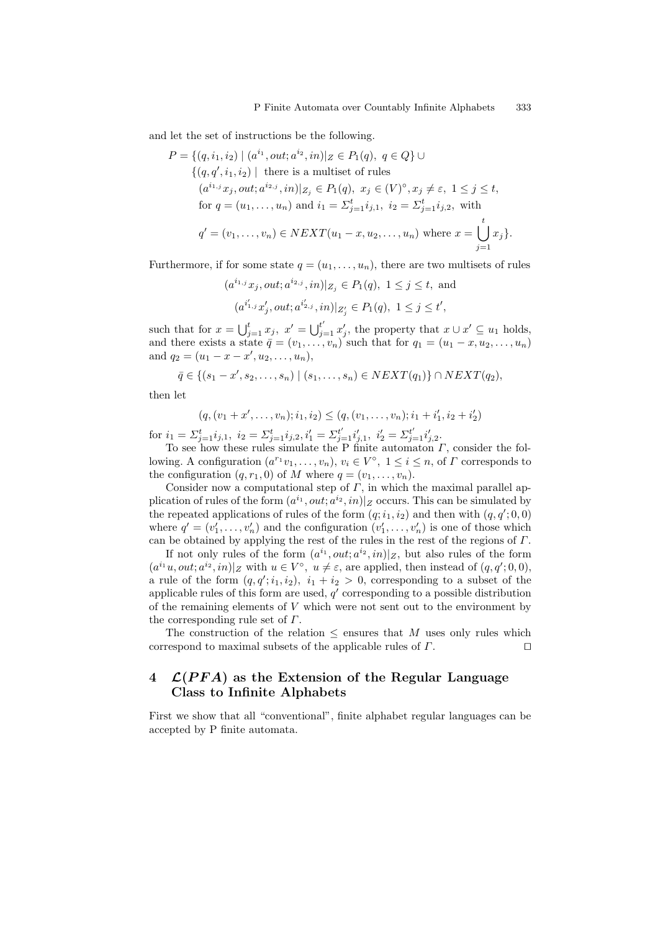and let the set of instructions be the following.

$$
P = \{(q, i_1, i_2) \mid (a^{i_1}, out; a^{i_2}, in) | Z \in P_1(q), q \in Q\} \cup
$$
  

$$
\{(q, q', i_1, i_2) \mid \text{ there is a multiset of rules}
$$
  

$$
(a^{i_{1,j}} x_j, out; a^{i_{2,j}}, in) | Z_j \in P_1(q), x_j \in (V)^\circ, x_j \neq \varepsilon, 1 \leq j \leq t,
$$
  
for  $q = (u_1, ..., u_n)$  and  $i_1 = \sum_{j=1}^t i_{j,1}, i_2 = \sum_{j=1}^t i_{j,2},$  with  

$$
q' = (v_1, ..., v_n) \in NEXT(u_1 - x, u_2, ..., u_n)
$$
 where  $x = \bigcup_{j=1}^t x_j$ .

Furthermore, if for some state  $q = (u_1, \ldots, u_n)$ , there are two multisets of rules

$$
(a^{i_{1,j}}x_j, out; a^{i_{2,j}}, in)|_{Z_j} \in P_1(q), \ 1 \le j \le t, \text{ and}
$$

$$
(a^{i'_{1,j}}x'_j, out; a^{i'_{2,j}}, in)|_{Z'_j} \in P_1(q), \ 1 \le j \le t',
$$

such that for  $x = \bigcup_{j=1}^t x_j$ ,  $x' = \bigcup_{j=1}^{t'} x'_j$ , the property that  $x \cup x' \subseteq u_1$  holds, and there exists a state  $\bar{q} = (v_1, \ldots, v_n)$  such that for  $q_1 = (u_1 - x, u_2, \ldots, u_n)$ and  $q_2 = (u_1 - x - x', u_2, \dots, u_n),$ 

$$
\bar{q} \in \{(s_1 - x', s_2, \dots, s_n) \mid (s_1, \dots, s_n) \in NEXT(q_1)\} \cap NEXT(q_2),
$$

then let

$$
(q, (v_1 + x', \ldots, v_n); i_1, i_2) \leq (q, (v_1, \ldots, v_n); i_1 + i'_1, i_2 + i'_2)
$$

for  $i_1 = \sum_{j=1}^t i_{j,1}, i_2 = \sum_{j=1}^t i_{j,2}, i'_1 = \sum_{j=1}^{t'} i'_{j,1}, i'_2 = \sum_{j=1}^{t'} i'_{j,2}.$ 

To see how these rules simulate the P finite automaton  $\Gamma$ , consider the following. A configuration  $(a^{r_1}v_1, \ldots, v_n), v_i \in V^{\circ}, 1 \le i \le n$ , of  $\Gamma$  corresponds to the configuration  $(q, r_1, 0)$  of M where  $q = (v_1, \ldots, v_n)$ .

Consider now a computational step of  $\Gamma$ , in which the maximal parallel application of rules of the form  $(a^{i_1}, out; a^{i_2}, in)|_Z$  occurs. This can be simulated by the repeated applications of rules of the form  $(q; i_1, i_2)$  and then with  $(q, q'; 0, 0)$ where  $q' = (v'_1, \ldots, v'_n)$  and the configuration  $(v'_1, \ldots, v'_n)$  is one of those which can be obtained by applying the rest of the rules in the rest of the regions of  $\Gamma$ .

If not only rules of the form  $(a^{i_1}, out; a^{i_2}, in)|_Z$ , but also rules of the form  $(a^{i_1}u, out; a^{i_2}, in)|_Z$  with  $u \in V^{\circ}$ ,  $u \neq \varepsilon$ , are applied, then instead of  $(q, q'; 0, 0)$ , a rule of the form  $(q, q'; i_1, i_2), i_1 + i_2 > 0$ , corresponding to a subset of the applicable rules of this form are used,  $q'$  corresponding to a possible distribution of the remaining elements of  $V$  which were not sent out to the environment by the corresponding rule set of  $\Gamma$ .

The construction of the relation  $\leq$  ensures that M uses only rules which correspond to maximal subsets of the applicable rules of  $\Gamma$ .

# 4  $\mathcal{L}(PFA)$  as the Extension of the Regular Language Class to Infinite Alphabets

First we show that all "conventional", finite alphabet regular languages can be accepted by P finite automata.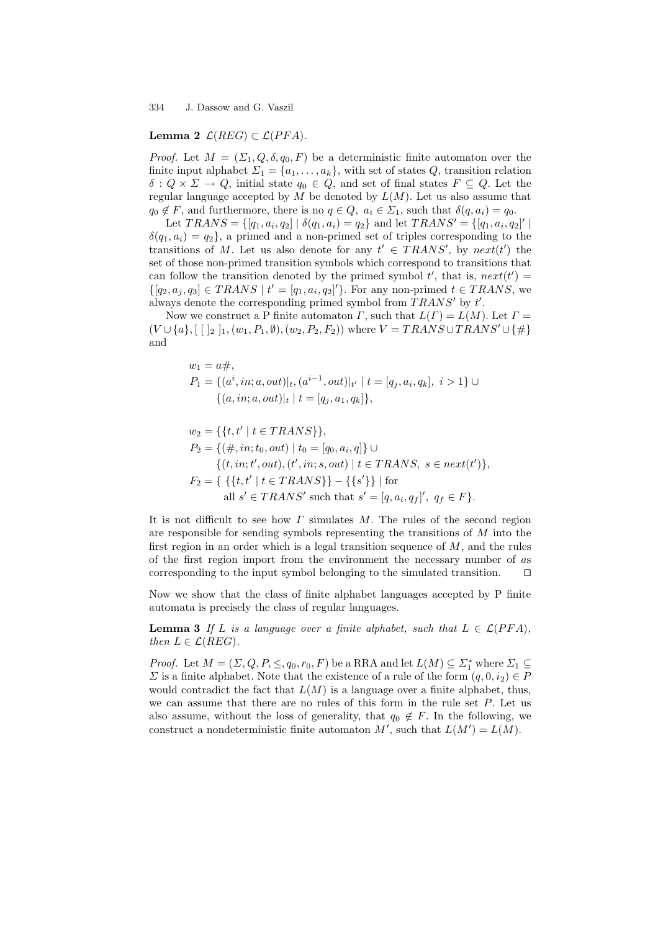### Lemma 2  $\mathcal{L}(REG) \subset \mathcal{L}(PFA)$ .

*Proof.* Let  $M = (\Sigma_1, Q, \delta, q_0, F)$  be a deterministic finite automaton over the finite input alphabet  $\Sigma_1 = \{a_1, \ldots, a_k\}$ , with set of states Q, transition relation  $\delta: Q \times \Sigma \to Q$ , initial state  $q_0 \in Q$ , and set of final states  $F \subseteq Q$ . Let the regular language accepted by  $M$  be denoted by  $L(M)$ . Let us also assume that  $q_0 \notin F$ , and furthermore, there is no  $q \in Q$ ,  $a_i \in \Sigma_1$ , such that  $\delta(q, a_i) = q_0$ .

Let  $TRANS = \{[q_1, a_i, q_2] | \delta(q_1, a_i) = q_2\}$  and let  $TRANS' = \{[q_1, a_i, q_2]'\}$  $\delta(q_1, a_i) = q_2$ , a primed and a non-primed set of triples corresponding to the transitions of M. Let us also denote for any  $t' \in TRANS'$ , by  $next(t')$  the set of those non-primed transition symbols which correspond to transitions that can follow the transition denoted by the primed symbol  $t'$ , that is,  $next(t') =$  $\{[q_2, a_j, q_3] \in TRANS \mid t' = [q_1, a_i, q_2]' \}$ . For any non-primed  $t \in TRANS$ , we always denote the corresponding primed symbol from  $TRANS'$  by  $t'$ .

Now we construct a P finite automaton  $\Gamma$ , such that  $L(\Gamma) = L(M)$ . Let  $\Gamma =$  $(V \cup \{a\}, [[]_2]_1, (w_1, P_1, \emptyset), (w_2, P_2, F_2))$  where  $V = TRANS \cup TRANS' \cup \{\#\}$ and

$$
w_1 = a#,
$$
  
\n
$$
P_1 = \{(a^i, in; a, out)|_t, (a^{i-1}, out)|_{t'} | t = [q_j, a_i, q_k], i > 1\} \cup
$$
  
\n
$$
\{(a, in; a, out)|_t | t = [q_j, a_1, q_k]\},
$$

$$
w_2 = \{ \{t, t' \mid t \in TRANS \} \},
$$
  
\n
$$
P_2 = \{ (\#, in; t_0, out) \mid t_0 = [q_0, a_i, q] \} \cup
$$
  
\n
$$
\{ (t, in; t', out), (t', in; s, out) \mid t \in TRANS, s \in next(t') \},
$$
  
\n
$$
F_2 = \{ \{ \{ t, t' \mid t \in TRANS \} \} - \{ \{ s' \} \} \mid \text{for}
$$
  
\nall  $s' \in TRANS'$  such that  $s' = [q, a_i, q_f]'$ ,  $q_f \in F \}.$ 

It is not difficult to see how  $\Gamma$  simulates M. The rules of the second region are responsible for sending symbols representing the transitions of  $M$  into the first region in an order which is a legal transition sequence of  $M$ , and the rules of the first region import from the environment the necessary number of as corresponding to the input symbol belonging to the simulated transition.  $\square$ 

Now we show that the class of finite alphabet languages accepted by P finite automata is precisely the class of regular languages.

**Lemma 3** If L is a language over a finite alphabet, such that  $L \in \mathcal{L}(PFA)$ , then  $L \in \mathcal{L}(REG)$ .

*Proof.* Let  $M = (\Sigma, Q, P, \leq, q_0, r_0, F)$  be a RRA and let  $L(M) \subseteq \Sigma_1^*$  where  $\Sigma_1 \subseteq$  $\Sigma$  is a finite alphabet. Note that the existence of a rule of the form  $(q, 0, i_2) \in P$ would contradict the fact that  $L(M)$  is a language over a finite alphabet, thus, we can assume that there are no rules of this form in the rule set  $P$ . Let us also assume, without the loss of generality, that  $q_0 \notin F$ . In the following, we construct a nondeterministic finite automaton  $M'$ , such that  $L(M') = L(M)$ .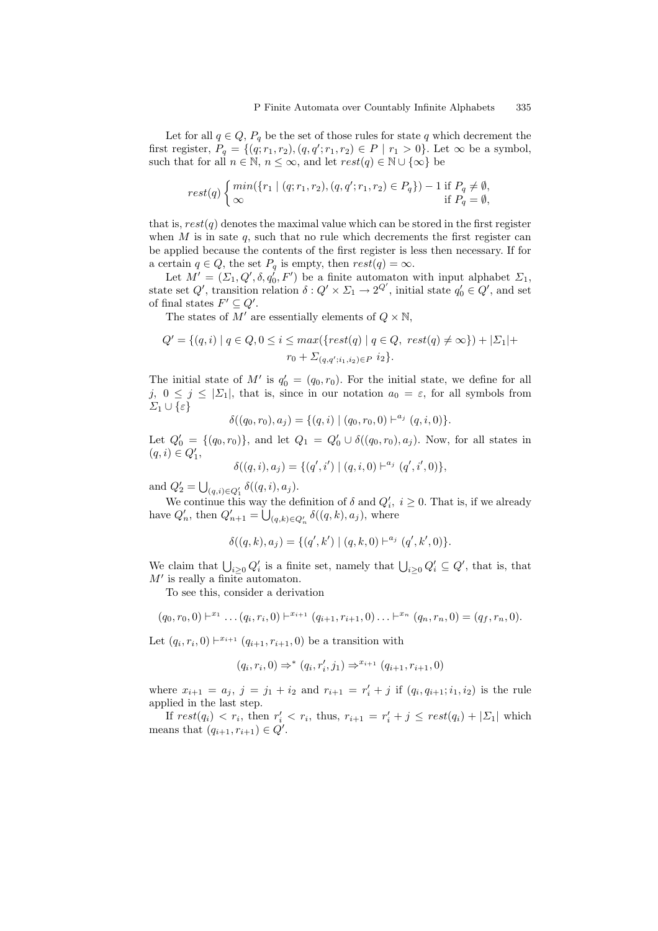Let for all  $q\in Q,$   $P_q$  be the set of those rules for state  $q$  which decrement the first register,  $P_q = \{(q; r_1, r_2), (q, q'; r_1, r_2) \in P \mid r_1 > 0\}$ . Let  $\infty$  be a symbol, such that for all  $n \in \mathbb{N}$ ,  $n \leq \infty$ , and let  $rest(q) \in \mathbb{N} \cup \{\infty\}$  be

$$
rest(q) \begin{cases} min(\lbrace r_1 | (q; r_1, r_2), (q, q'; r_1, r_2) \in P_q \rbrace) - 1 \text{ if } P_q \neq \emptyset, \\ \infty & \text{if } P_q = \emptyset, \end{cases}
$$

that is,  $rest(q)$  denotes the maximal value which can be stored in the first register when  $M$  is in sate  $q$ , such that no rule which decrements the first register can be applied because the contents of the first register is less then necessary. If for a certain  $q \in Q$ , the set  $P_q$  is empty, then  $rest(q) = \infty$ .

Let  $M' = (\Sigma_1, Q', \delta, q'_0, F')$  be a finite automaton with input alphabet  $\Sigma_1$ , state set Q', transition relation  $\delta: Q' \times \Sigma_1 \to 2^{Q'}$ , initial state  $q'_0 \in Q'$ , and set of final states  $F' \subseteq Q'$ .

The states of M' are essentially elements of  $Q \times \mathbb{N}$ ,

$$
Q' = \{(q, i) \mid q \in Q, 0 \le i \le max(\{rest(q) \mid q \in Q, rest(q) \ne \infty\}) + |\Sigma_1| + r_0 + \Sigma_{(q, q'; i_1, i_2) \in P} i_2\}.
$$

The initial state of M' is  $q'_0 = (q_0, r_0)$ . For the initial state, we define for all j,  $0 \leq j \leq |\Sigma_1|$ , that is, since in our notation  $a_0 = \varepsilon$ , for all symbols from  $\Sigma_1 \cup {\varepsilon}$ 

$$
\delta((q_0, r_0), a_j) = \{ (q, i) \mid (q_0, r_0, 0) \vdash^{a_j} (q, i, 0) \}.
$$

Let  $Q'_0 = \{(q_0, r_0)\}\$ , and let  $Q_1 = Q'_0 \cup \delta((q_0, r_0), a_j)$ . Now, for all states in  $(q, i) \in Q'_1$ ,

$$
\delta((q, i), a_j) = \{ (q', i') \mid (q, i, 0) \vdash^{a_j} (q', i', 0) \},
$$

and  $Q'_2 = \bigcup_{(q,i) \in Q'_1} \delta((q,i), a_j).$ 

We continue this way the definition of  $\delta$  and  $Q_i^{\prime}$ ,  $i \geq 0$ . That is, if we already have  $Q'_n$ , then  $Q'_{n+1} = \bigcup_{(q,k)\in Q'_n} \delta((q,k), a_j)$ , where

$$
\delta((q,k),a_j) = \{(q',k') | (q,k,0) \vdash^{a_j} (q',k',0) \}.
$$

We claim that  $\bigcup_{i\geq 0} Q'_i$  is a finite set, namely that  $\bigcup_{i\geq 0} Q'_i \subseteq Q'$ , that is, that  $M'$  is really a finite automaton.

To see this, consider a derivation

$$
(q_0, r_0, 0) \vdash^{x_1} \ldots (q_i, r_i, 0) \vdash^{x_{i+1}} (q_{i+1}, r_{i+1}, 0) \ldots \vdash^{x_n} (q_n, r_n, 0) = (q_f, r_n, 0).
$$

Let  $(q_i, r_i, 0) \vdash^{x_{i+1}} (q_{i+1}, r_{i+1}, 0)$  be a transition with

$$
(q_i, r_i, 0) \Rightarrow^* (q_i, r'_i, j_1) \Rightarrow^{x_{i+1}} (q_{i+1}, r_{i+1}, 0)
$$

where  $x_{i+1} = a_j$ ,  $j = j_1 + i_2$  and  $r_{i+1} = r'_i + j$  if  $(q_i, q_{i+1}; i_1, i_2)$  is the rule applied in the last step.

If  $\text{rest}(q_i) < r_i$ , then  $r'_i < r_i$ , thus,  $r_{i+1} = r'_i + j \leq \text{rest}(q_i) + |\Sigma_1|$  which means that  $(q_{i+1}, r_{i+1}) \in Q'$ .